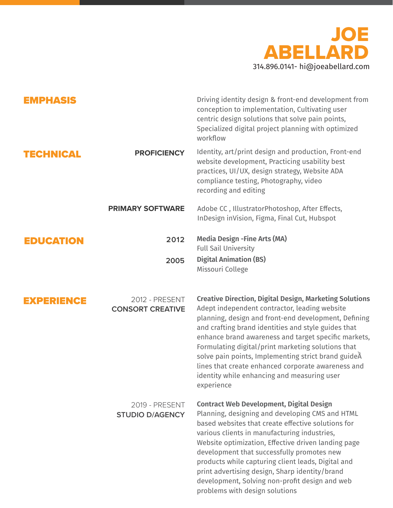

| <b>EMPHASIS</b>   |                                                  | Driving identity design & front-end development from<br>conception to implementation, Cultivating user<br>centric design solutions that solve pain points,<br>Specialized digital project planning with optimized<br>workflow                                                                                                                                                                                                                                                                                          |
|-------------------|--------------------------------------------------|------------------------------------------------------------------------------------------------------------------------------------------------------------------------------------------------------------------------------------------------------------------------------------------------------------------------------------------------------------------------------------------------------------------------------------------------------------------------------------------------------------------------|
| <b>TECHNICAL</b>  | <b>PROFICIENCY</b>                               | Identity, art/print design and production, Front-end<br>website development, Practicing usability best<br>practices, UI/UX, design strategy, Website ADA<br>compliance testing, Photography, video<br>recording and editing                                                                                                                                                                                                                                                                                            |
|                   | <b>PRIMARY SOFTWARE</b>                          | Adobe CC, IllustratorPhotoshop, After Effects,<br>InDesign inVision, Figma, Final Cut, Hubspot                                                                                                                                                                                                                                                                                                                                                                                                                         |
| <b>EDUCATION</b>  | 2012                                             | <b>Media Design - Fine Arts (MA)</b><br><b>Full Sail University</b>                                                                                                                                                                                                                                                                                                                                                                                                                                                    |
|                   | 2005                                             | <b>Digital Animation (BS)</b><br>Missouri College                                                                                                                                                                                                                                                                                                                                                                                                                                                                      |
| <b>EXPERIENCE</b> | <b>2012 - PRESENT</b><br><b>CONSORT CREATIVE</b> | <b>Creative Direction, Digital Design, Marketing Solutions</b><br>Adept independent contractor, leading website<br>planning, design and front-end development, Defining<br>and crafting brand identities and style guides that<br>enhance brand awareness and target specific markets,<br>Formulating digital/print marketing solutions that<br>solve pain points, Implementing strict brand guideÂ<br>lines that create enhanced corporate awareness and<br>identity while enhancing and measuring user<br>experience |
|                   | <b>2019 - PRESENT</b><br><b>STUDIO D/AGENCY</b>  | <b>Contract Web Development, Digital Design</b><br>Planning, designing and developing CMS and HTML<br>based websites that create effective solutions for<br>various clients in manufacturing industries,<br>Website optimization, Effective driven landing page<br>development that successfully promotes new<br>products while capturing client leads, Digital and<br>print advertising design, Sharp identity/brand<br>development, Solving non-profit design and web<br>problems with design solutions              |